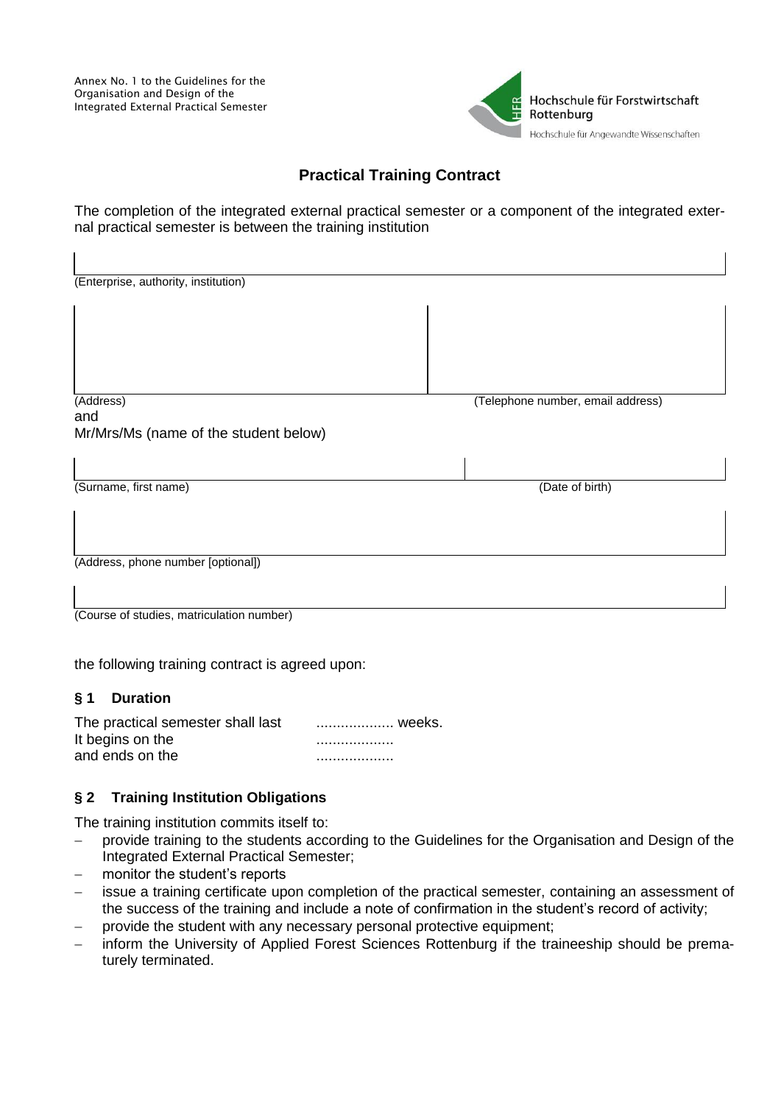Annex No. 1 to the Guidelines for the Organisation and Design of the Integrated External Practical Semester

 $\mathbf{I}$ 



 $\overline{1}$ 

# **Practical Training Contract**

The completion of the integrated external practical semester or a component of the integrated external practical semester is between the training institution

| (Enterprise, authority, institution)      |                                   |
|-------------------------------------------|-----------------------------------|
|                                           |                                   |
|                                           |                                   |
|                                           |                                   |
|                                           |                                   |
| (Address)                                 | (Telephone number, email address) |
| and                                       |                                   |
| Mr/Mrs/Ms (name of the student below)     |                                   |
|                                           |                                   |
| (Surname, first name)                     | (Date of birth)                   |
|                                           |                                   |
|                                           |                                   |
|                                           |                                   |
| (Address, phone number [optional])        |                                   |
|                                           |                                   |
|                                           |                                   |
| (Course of studies, matriculation number) |                                   |
|                                           |                                   |
|                                           |                                   |

the following training contract is agreed upon:

## **§ 1 Duration**

The practical semester shall last ....................... weeks. It begins on the ................... and ends on the ...................

## **§ 2 Training Institution Obligations**

The training institution commits itself to:

- provide training to the students according to the Guidelines for the Organisation and Design of the Integrated External Practical Semester;
- monitor the student's reports
- issue a training certificate upon completion of the practical semester, containing an assessment of the success of the training and include a note of confirmation in the student's record of activity;
- provide the student with any necessary personal protective equipment;
- inform the University of Applied Forest Sciences Rottenburg if the traineeship should be prematurely terminated.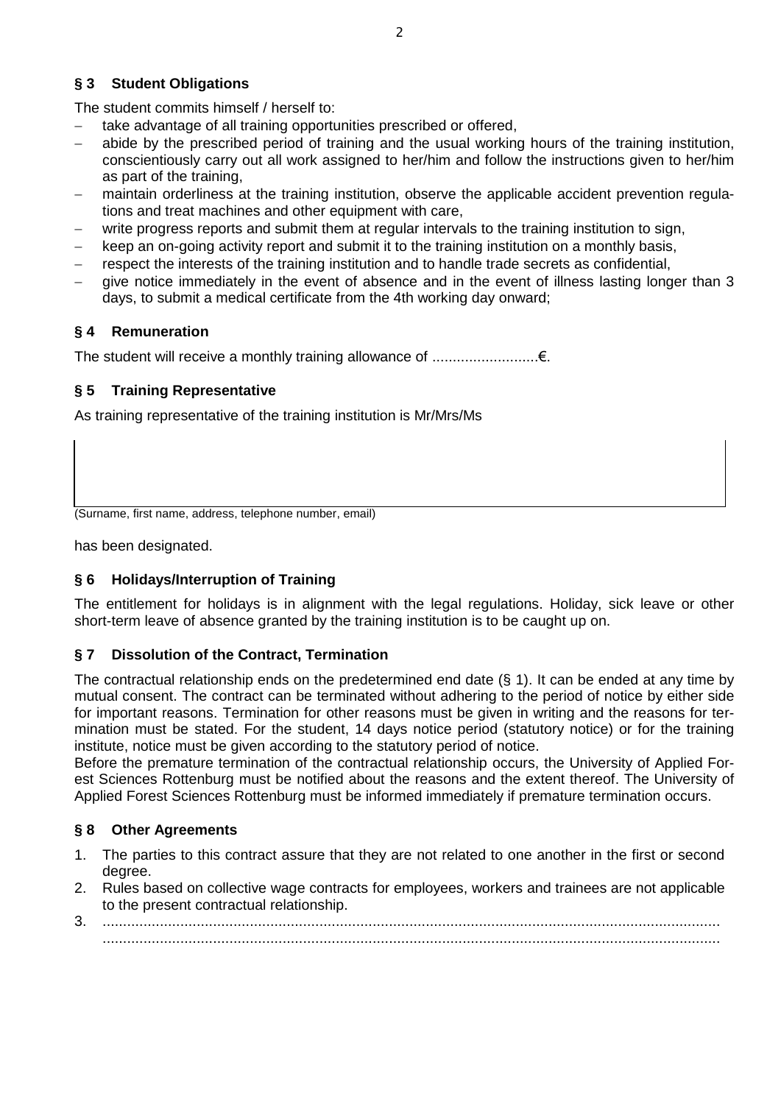## **§ 3 Student Obligations**

The student commits himself / herself to:

- take advantage of all training opportunities prescribed or offered,
- abide by the prescribed period of training and the usual working hours of the training institution, conscientiously carry out all work assigned to her/him and follow the instructions given to her/him as part of the training,
- maintain orderliness at the training institution, observe the applicable accident prevention regulations and treat machines and other equipment with care,
- write progress reports and submit them at regular intervals to the training institution to sign,
- keep an on-going activity report and submit it to the training institution on a monthly basis,
- respect the interests of the training institution and to handle trade secrets as confidential,
- give notice immediately in the event of absence and in the event of illness lasting longer than 3 days, to submit a medical certificate from the 4th working day onward;

# **§ 4 Remuneration**

The student will receive a monthly training allowance of ..........................€.

## **§ 5 Training Representative**

As training representative of the training institution is Mr/Mrs/Ms

(Surname, first name, address, telephone number, email)

has been designated.

# **§ 6 Holidays/Interruption of Training**

The entitlement for holidays is in alignment with the legal regulations. Holiday, sick leave or other short-term leave of absence granted by the training institution is to be caught up on.

## **§ 7 Dissolution of the Contract, Termination**

The contractual relationship ends on the predetermined end date (§ 1). It can be ended at any time by mutual consent. The contract can be terminated without adhering to the period of notice by either side for important reasons. Termination for other reasons must be given in writing and the reasons for termination must be stated. For the student, 14 days notice period (statutory notice) or for the training institute, notice must be given according to the statutory period of notice.

Before the premature termination of the contractual relationship occurs, the University of Applied Forest Sciences Rottenburg must be notified about the reasons and the extent thereof. The University of Applied Forest Sciences Rottenburg must be informed immediately if premature termination occurs.

## **§ 8 Other Agreements**

- 1. The parties to this contract assure that they are not related to one another in the first or second degree.
- 2. Rules based on collective wage contracts for employees, workers and trainees are not applicable to the present contractual relationship.
- 3. ....................................................................................................................................................... .......................................................................................................................................................